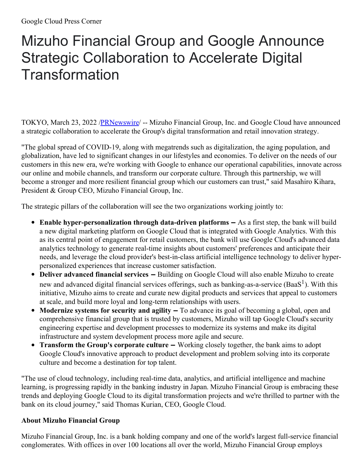## Mizuho Financial Group and Google Announce Strategic Collaboration to Accelerate Digital **Transformation**

TOKYO, March 23, 2022 [/PRNewswire](http://www.prnewswire.com/)/ -- Mizuho Financial Group, Inc. and Google Cloud have announced a strategic collaboration to accelerate the Group's digital transformation and retail innovation strategy.

"The global spread of COVID-19, along with megatrends such as digitalization, the aging population, and globalization, have led to significant changes in our lifestyles and economies. To deliver on the needs of our customers in this new era, we're working with Google to enhance our operational capabilities, innovate across our online and mobile channels, and transform our corporate culture. Through this partnership, we will become a stronger and more resilient financial group which our customers can trust," said Masahiro Kihara, President & Group CEO, Mizuho Financial Group, Inc.

The strategic pillars of the collaboration will see the two organizations working jointly to:

- **Enable hyper-personalization through data-driven platforms ‒** As a first step, the bank will build a new digital marketing platform on Google Cloud that is integrated with Google Analytics. With this as its central point of engagement for retail customers, the bank will use Google Cloud's advanced data analytics technology to generate real-time insights about customers' preferences and anticipate their needs, and leverage the cloud provider's best-in-class artificial intelligence technology to deliver hyperpersonalized experiences that increase customer satisfaction.
- **Deliver advanced financial services ‒** Building on Google Cloud will also enable Mizuho to create new and advanced digital financial services offerings, such as banking-as-a-service (BaaS<sup>1</sup>). With this initiative, Mizuho aims to create and curate new digital products and services that appeal to customers at scale, and build more loyal and long-term relationships with users.
- **Modernize systems for security and agility ‒** To advance its goal of becoming a global, open and comprehensive financial group that is trusted by customers, Mizuho will tap Google Cloud's security engineering expertise and development processes to modernize its systems and make its digital infrastructure and system development process more agile and secure.
- **Transform the Group's corporate culture ‒** Working closely together, the bank aims to adopt Google Cloud's innovative approach to product development and problem solving into its corporate culture and become a destination for top talent.

"The use of cloud technology, including real-time data, analytics, and artificial intelligence and machine learning, is progressing rapidly in the banking industry in Japan. Mizuho Financial Group is embracing these trends and deploying Google Cloud to its digital transformation projects and we're thrilled to partner with the bank on its cloud journey," said Thomas Kurian, CEO, Google Cloud.

## **About Mizuho Financial Group**

Mizuho Financial Group, Inc. is a bank holding company and one of the world's largest full-service financial conglomerates. With offices in over 100 locations all over the world, Mizuho Financial Group employs